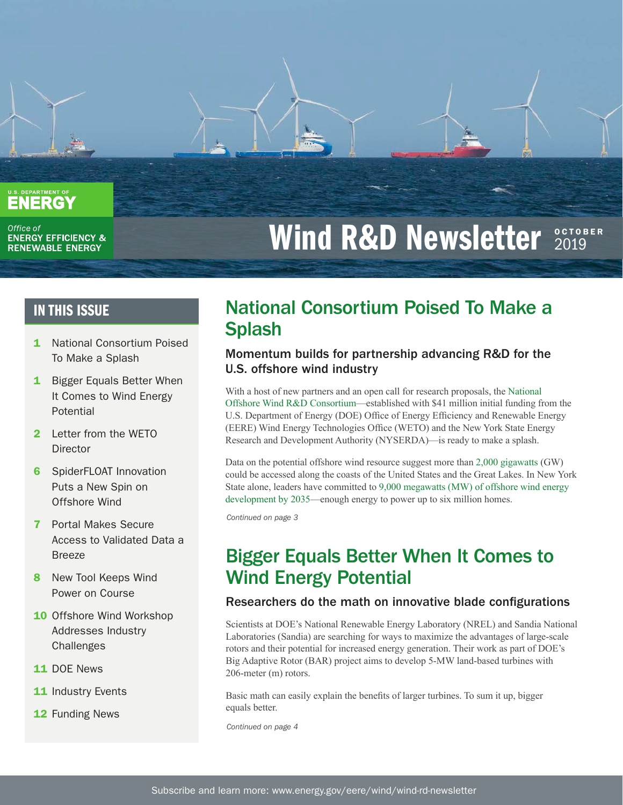

Office of **ENERGY EFFICIENCY & RENEWABLE ENERGY** 

# **Wind R&D Newsletter 2019**

- 1 National Consortium Poised To Make a Splash
- **1** Bigger Equals Better When It Comes to Wind Energy Potential
- 2 Letter from the WETO **Director**
- **6** SpiderFLOAT Innovation Puts a New Spin on Offshore Wind
- 7 Portal Makes Secure Access to Validated Data a Breeze
- 8 New Tool Keeps Wind Power on Course
- **10** Offshore Wind Workshop Addresses Industry **Challenges**
- 11 DOE News
- 11 Industry Events
- 12 Funding News

### IN THIS ISSUE National Consortium Poised To Make a **Splash**

### Momentum builds for partnership advancing R&D for the U.S. offshore wind industry

With a host of new partners and an open call for research proposals, the [National](https://nationaloffshorewind.org)  [Offshore Wind R&D Consortium](https://nationaloffshorewind.org)—established with \$41 million initial funding from the U.S. Department of Energy (DOE) Office of Energy Efficiency and Renewable Energy (EERE) Wind Energy Technologies Office (WETO) and the New York State Energy Research and Development Authority (NYSERDA)—is ready to make a splash.

Data on the potential offshore wind resource suggest more than [2,000 gigawatts](https://www.energy.gov/eere/articles/computing-america-s-offshore-wind-energy-potential) (GW) could be accessed along the coasts of the United States and the Great Lakes. In New York State alone, leaders have committed to [9,000 megawatts \(MW\) of offshore wind energy](https://www.nyserda.ny.gov/All%20Programs/Programs/Offshore%20Wind)  [development by 2035](https://www.nyserda.ny.gov/All%20Programs/Programs/Offshore%20Wind)—enough energy to power up to six million homes.

*Continued on page 3*

## Bigger Equals Better When It Comes to Wind Energy Potential

### Researchers do the math on innovative blade configurations

Scientists at DOE's National Renewable Energy Laboratory (NREL) and Sandia National Laboratories (Sandia) are searching for ways to maximize the advantages of large-scale rotors and their potential for increased energy generation. Their work as part of DOE's Big Adaptive Rotor (BAR) project aims to develop 5-MW land-based turbines with 206-meter (m) rotors.

Basic math can easily explain the benefits of larger turbines. To sum it up, bigger equals better.

*Continued on page 4*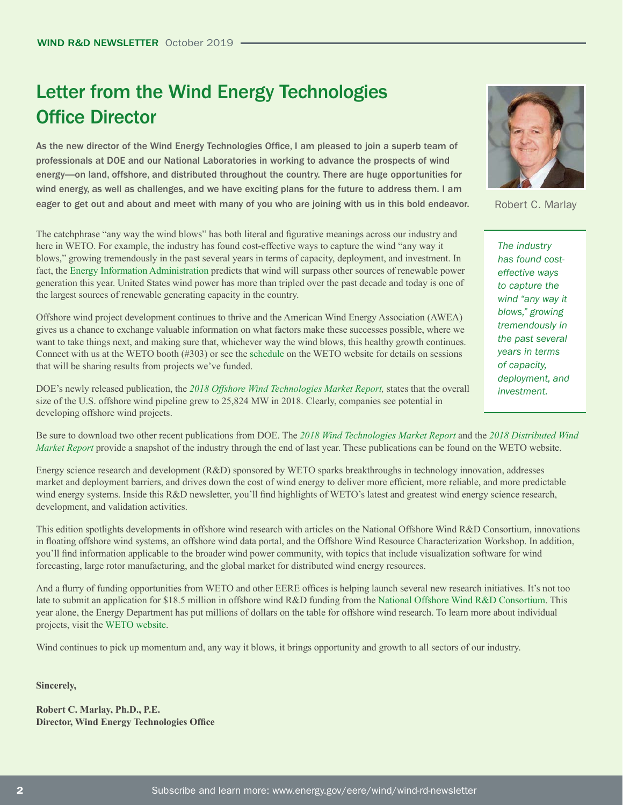# Letter from the Wind Energy Technologies Office Director

As the new director of the Wind Energy Technologies Office, I am pleased to join a superb team of professionals at DOE and our National Laboratories in working to advance the prospects of wind energy—on land, offshore, and distributed throughout the country. There are huge opportunities for wind energy, as well as challenges, and we have exciting plans for the future to address them. I am eager to get out and about and meet with many of you who are joining with us in this bold endeavor.

The catchphrase "any way the wind blows" has both literal and figurative meanings across our industry and here in WETO. For example, the industry has found cost-effective ways to capture the wind "any way it blows," growing tremendously in the past several years in terms of capacity, deployment, and investment. In fact, the [Energy Information Administration](https://www.eia.gov/outlooks/steo/data.php) predicts that wind will surpass other sources of renewable power generation this year. United States wind power has more than tripled over the past decade and today is one of the largest sources of renewable generating capacity in the country.

Offshore wind project development continues to thrive and the American Wind Energy Association (AWEA) gives us a chance to exchange valuable information on what factors make these successes possible, where we want to take things next, and making sure that, whichever way the wind blows, this healthy growth continues. Connect with us at the WETO booth (#303) or see the [schedule](https://www.energy.gov/eere/wind/events/awea-offshore-windpower-conference-and-exhibition-2019) on the WETO website for details on sessions that will be sharing results from projects we've funded.

DOE's newly released publication, the *[2018 Offshore Wind Technologies Market Report](https://www.energy.gov/eere/wind/downloads/2018-offshore-wind-market-report),* states that the overall size of the U.S. offshore wind pipeline grew to 25,824 MW in 2018. Clearly, companies see potential in developing offshore wind projects.

Be sure to download two other recent publications from DOE. The *2[018 Wind Technologies Market Report](https://www.energy.gov/eere/wind/downloads/2018-wind-technologies-market-report)* and the *[2018 Distributed Wind](https://www.energy.gov/eere/wind/downloads/2018-distributed-wind-market-report)  [Market Report](https://www.energy.gov/eere/wind/downloads/2018-distributed-wind-market-report)* provide a snapshot of the industry through the end of last year. These publications can be found on the WETO website.

Energy science research and development (R&D) sponsored by WETO sparks breakthroughs in technology innovation, addresses market and deployment barriers, and drives down the cost of wind energy to deliver more efficient, more reliable, and more predictable wind energy systems. Inside this R&D newsletter, you'll find highlights of WETO's latest and greatest wind energy science research, development, and validation activities.

This edition spotlights developments in offshore wind research with articles on the National Offshore Wind R&D Consortium, innovations in floating offshore wind systems, an offshore wind data portal, and the Offshore Wind Resource Characterization Workshop. In addition, you'll find information applicable to the broader wind power community, with topics that include visualization software for wind forecasting, large rotor manufacturing, and the global market for distributed wind energy resources.

And a flurry of funding opportunities from WETO and other EERE offices is helping launch several new research initiatives. It's not too late to submit an application for \$18.5 million in offshore wind R&D funding from the [National Offshore Wind R&D Consortium.](https://www.energy.gov/eere/wind/national-offshore-wind-rd-consortium) This year alone, the Energy Department has put millions of dollars on the table for offshore wind research. To learn more about individual projects, visit the [WETO website.](https://www.energy.gov/eere/wind/wind-energy-funding-opportunities)

Wind continues to pick up momentum and, any way it blows, it brings opportunity and growth to all sectors of our industry.

**Sincerely,**

**Robert C. Marlay, Ph.D., P.E. Director, Wind Energy Technologies Office**



Robert C. Marlay

*The industry has found costeffective ways to capture the wind "any way it blows," growing tremendously in the past several years in terms of capacity, deployment, and investment.*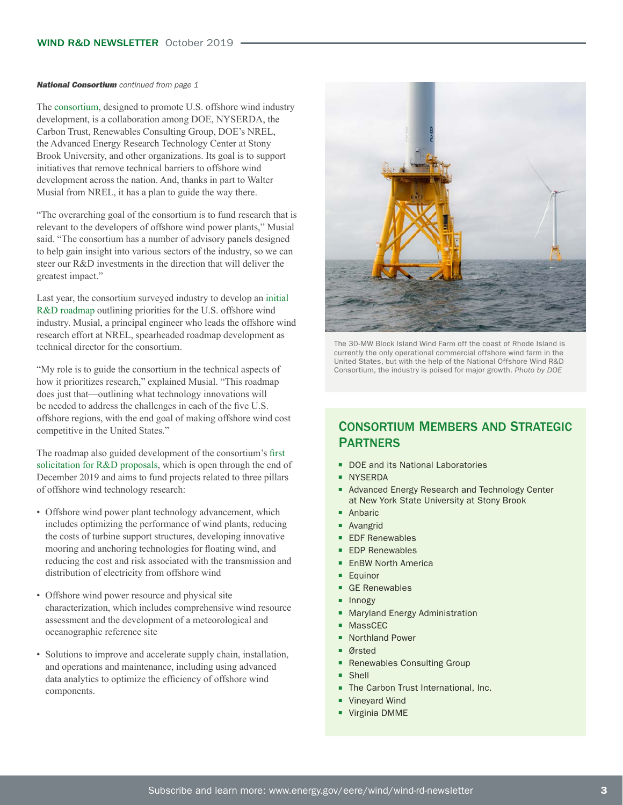#### **National Consortium** continued from page 1

The [consortium,](https://nationaloffshorewind.org) designed to promote U.S. offshore wind industry development, is a collaboration among DOE, NYSERDA, the Carbon Trust, Renewables Consulting Group, DOE's NREL, the Advanced Energy Research Technology Center at Stony Brook University, and other organizations. Its goal is to support initiatives that remove technical barriers to offshore wind development across the nation. And, thanks in part to Walter Musial from NREL, it has a plan to guide the way there.

"The overarching goal of the consortium is to fund research that is relevant to the developers of offshore wind power plants," Musial said. "The consortium has a number of advisory panels designed to help gain insight into various sectors of the industry, so we can steer our R&D investments in the direction that will deliver the greatest impact."

Last year, the consortium surveyed industry to develop an [initial](https://www.nyserda.ny.gov/-/media/Files/Programs/offshore-wind/National-Offshore-Wind-Research-and-Development-Consortium-Roadmap.pdf)  [R&D roadmap](https://www.nyserda.ny.gov/-/media/Files/Programs/offshore-wind/National-Offshore-Wind-Research-and-Development-Consortium-Roadmap.pdf) outlining priorities for the U.S. offshore wind industry. Musial, a principal engineer who leads the offshore wind research effort at NREL, spearheaded roadmap development as technical director for the consortium.

"My role is to guide the consortium in the technical aspects of how it prioritizes research," explained Musial. "This roadmap does just that—outlining what technology innovations will be needed to address the challenges in each of the five U.S. offshore regions, with the end goal of making offshore wind cost competitive in the United States."

The roadmap also guided development of the consortium's [first](https://portal.nyserda.ny.gov/CORE_Solicitation_Detail_Page?SolicitationId=a0rt000000beASkAAM)  [solicitation for R&D proposals](https://portal.nyserda.ny.gov/CORE_Solicitation_Detail_Page?SolicitationId=a0rt000000beASkAAM), which is open through the end of December 2019 and aims to fund projects related to three pillars of offshore wind technology research:

- Offshore wind power plant technology advancement, which includes optimizing the performance of wind plants, reducing the costs of turbine support structures, developing innovative mooring and anchoring technologies for floating wind, and reducing the cost and risk associated with the transmission and distribution of electricity from offshore wind
- Offshore wind power resource and physical site characterization, which includes comprehensive wind resource assessment and the development of a meteorological and oceanographic reference site
- Solutions to improve and accelerate supply chain, installation, and operations and maintenance, including using advanced data analytics to optimize the efficiency of offshore wind components.



The 30-MW Block Island Wind Farm off the coast of Rhode Island is currently the only operational commercial offshore wind farm in the United States, but with the help of the National Offshore Wind R&D Consortium, the industry is poised for major growth. *Photo by DOE*

### Consortium Members and Strategic **PARTNERS**

- DOE and its National Laboratories
- NYSERDA
- Advanced Energy Research and Technology Center at New York State University at Stony Brook
- Anbaric
- Avangrid
- EDF Renewables
- EDP Renewables
- EnBW North America
- Equinor
- GE Renewables
- Innogy
- Maryland Energy Administration
- **MassCEC**
- Northland Power
- Ørsted
- Renewables Consulting Group
- Shell
- The Carbon Trust International, Inc.
- **Vineyard Wind**
- Virginia DMME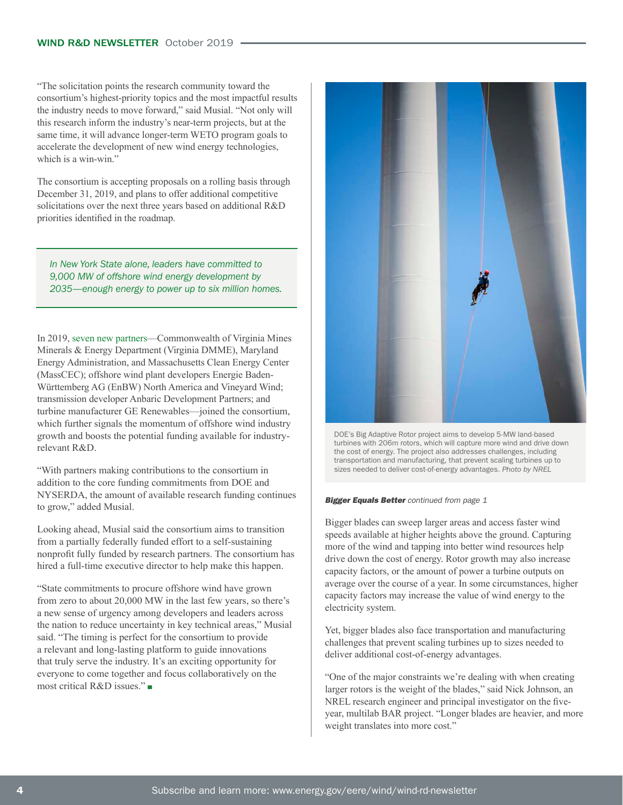"The solicitation points the research community toward the consortium's highest-priority topics and the most impactful results the industry needs to move forward," said Musial. "Not only will this research inform the industry's near-term projects, but at the same time, it will advance longer-term WETO program goals to accelerate the development of new wind energy technologies, which is a win-win"

The consortium is accepting proposals on a rolling basis through December 31, 2019, and plans to offer additional competitive solicitations over the next three years based on additional R&D priorities identified in the roadmap.

*In New York State alone, leaders have committed to 9,000 MW of offshore wind energy development by 2035—enough energy to power up to six million homes.*

In 2019, [seven new partners—](https://www.nyserda.ny.gov/About/Newsroom/2019-Announcements/2019-01-24-National-Offshore-Wind-Research-and-Development-Consortium-Adds-Additional-States-and-Developers-To-Board-of-Directors)Commonwealth of Virginia Mines Minerals & Energy Department (Virginia DMME), Maryland Energy Administration, and Massachusetts Clean Energy Center (MassCEC); offshore wind plant developers Energie Baden-Württemberg AG (EnBW) North America and Vineyard Wind; transmission developer Anbaric Development Partners; and turbine manufacturer GE Renewables—joined the consortium, which further signals the momentum of offshore wind industry growth and boosts the potential funding available for industryrelevant R&D.

"With partners making contributions to the consortium in addition to the core funding commitments from DOE and NYSERDA, the amount of available research funding continues to grow," added Musial.

Looking ahead, Musial said the consortium aims to transition from a partially federally funded effort to a self-sustaining nonprofit fully funded by research partners. The consortium has hired a full-time executive director to help make this happen.

"State commitments to procure offshore wind have grown from zero to about 20,000 MW in the last few years, so there's a new sense of urgency among developers and leaders across the nation to reduce uncertainty in key technical areas," Musial said. "The timing is perfect for the consortium to provide a relevant and long-lasting platform to guide innovations that truly serve the industry. It's an exciting opportunity for everyone to come together and focus collaboratively on the most critical R&D issues."



DOE's Big Adaptive Rotor project aims to develop 5-MW land-based turbines with 206m rotors, which will capture more wind and drive down the cost of energy. The project also addresses challenges, including transportation and manufacturing, that prevent scaling turbines up to sizes needed to deliver cost-of-energy advantages. *Photo by NREL*

#### **Bigger Equals Better** continued from page 1

Bigger blades can sweep larger areas and access faster wind speeds available at higher heights above the ground. Capturing more of the wind and tapping into better wind resources help drive down the cost of energy. Rotor growth may also increase capacity factors, or the amount of power a turbine outputs on average over the course of a year. In some circumstances, higher capacity factors may increase the value of wind energy to the electricity system.

Yet, bigger blades also face transportation and manufacturing challenges that prevent scaling turbines up to sizes needed to deliver additional cost-of-energy advantages.

"One of the major constraints we're dealing with when creating larger rotors is the weight of the blades," said Nick Johnson, an NREL research engineer and principal investigator on the fiveyear, multilab BAR project. "Longer blades are heavier, and more weight translates into more cost."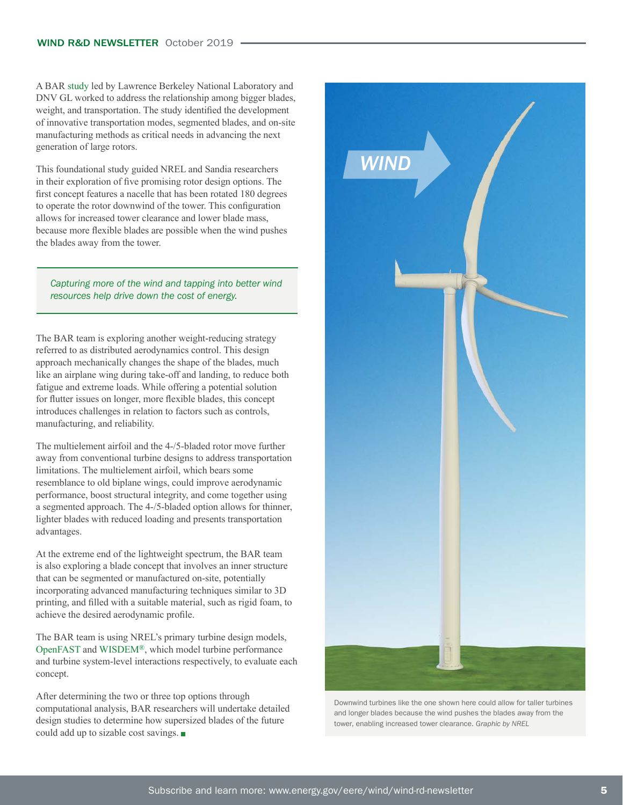A BAR [study](https://emp.lbl.gov/publications/supersized-wind-turbine-blade-study) led by Lawrence Berkeley National Laboratory and DNV GL worked to address the relationship among bigger blades, weight, and transportation. The study identified the development of innovative transportation modes, segmented blades, and on-site manufacturing methods as critical needs in advancing the next generation of large rotors.

This foundational study guided NREL and Sandia researchers in their exploration of five promising rotor design options. The first concept features a nacelle that has been rotated 180 degrees to operate the rotor downwind of the tower. This configuration allows for increased tower clearance and lower blade mass, because more flexible blades are possible when the wind pushes the blades away from the tower.

*Capturing more of the wind and tapping into better wind resources help drive down the cost of energy.* 

The BAR team is exploring another weight-reducing strategy referred to as distributed aerodynamics control. This design approach mechanically changes the shape of the blades, much like an airplane wing during take-off and landing, to reduce both fatigue and extreme loads. While offering a potential solution for flutter issues on longer, more flexible blades, this concept introduces challenges in relation to factors such as controls, manufacturing, and reliability.

The multielement airfoil and the 4-/5-bladed rotor move further away from conventional turbine designs to address transportation limitations. The multielement airfoil, which bears some resemblance to old biplane wings, could improve aerodynamic performance, boost structural integrity, and come together using a segmented approach. The 4-/5-bladed option allows for thinner, lighter blades with reduced loading and presents transportation advantages.

At the extreme end of the lightweight spectrum, the BAR team is also exploring a blade concept that involves an inner structure that can be segmented or manufactured on-site, potentially incorporating advanced manufacturing techniques similar to 3D printing, and filled with a suitable material, such as rigid foam, to achieve the desired aerodynamic profile.

The BAR team is using NREL's primary turbine design models, [OpenFAST](https://nwtc.nrel.gov/OpenFAST) and [WISDEM](https://nwtc.nrel.gov/WISDEM)®, which model turbine performance and turbine system-level interactions respectively, to evaluate each concept.

After determining the two or three top options through computational analysis, BAR researchers will undertake detailed design studies to determine how supersized blades of the future could add up to sizable cost savings.



Downwind turbines like the one shown here could allow for taller turbines and longer blades because the wind pushes the blades away from the tower, enabling increased tower clearance. *Graphic by NREL*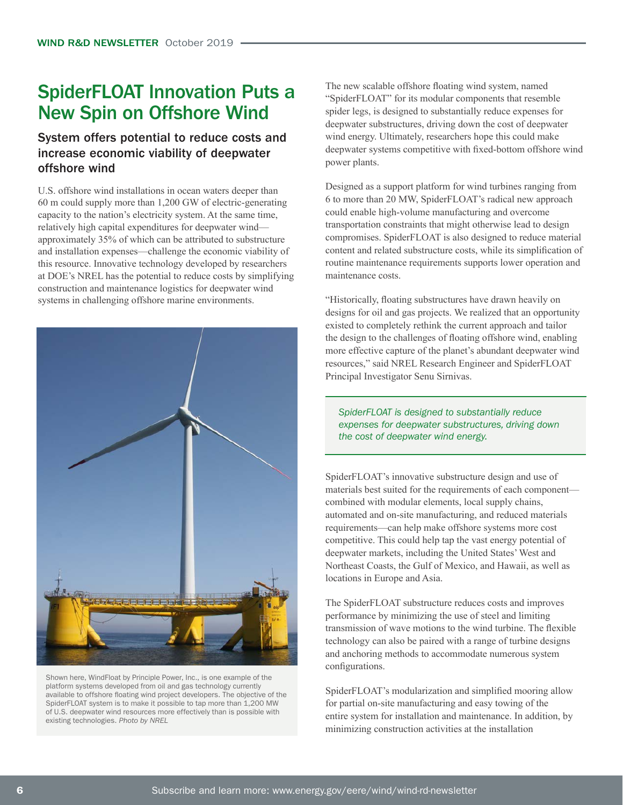### SpiderFLOAT Innovation Puts a New Spin on Offshore Wind

### System offers potential to reduce costs and increase economic viability of deepwater offshore wind

U.S. offshore wind installations in ocean waters deeper than 60 m could supply more than 1,200 GW of electric-generating capacity to the nation's electricity system. At the same time, relatively high capital expenditures for deepwater wind approximately 35% of which can be attributed to substructure and installation expenses—challenge the economic viability of this resource. Innovative technology developed by researchers at DOE's NREL has the potential to reduce costs by simplifying construction and maintenance logistics for deepwater wind systems in challenging offshore marine environments.



Shown here, WindFloat by Principle Power, Inc., is one example of the platform systems developed from oil and gas technology currently available to offshore floating wind project developers. The objective of the SpiderFLOAT system is to make it possible to tap more than 1,200 MW of U.S. deepwater wind resources more effectively than is possible with existing technologies. *Photo by NREL*

The new scalable offshore floating wind system, named "SpiderFLOAT" for its modular components that resemble spider legs, is designed to substantially reduce expenses for deepwater substructures, driving down the cost of deepwater wind energy. Ultimately, researchers hope this could make deepwater systems competitive with fixed-bottom offshore wind power plants.

Designed as a support platform for wind turbines ranging from 6 to more than 20 MW, SpiderFLOAT's radical new approach could enable high-volume manufacturing and overcome transportation constraints that might otherwise lead to design compromises. SpiderFLOAT is also designed to reduce material content and related substructure costs, while its simplification of routine maintenance requirements supports lower operation and maintenance costs.

"Historically, floating substructures have drawn heavily on designs for oil and gas projects. We realized that an opportunity existed to completely rethink the current approach and tailor the design to the challenges of floating offshore wind, enabling more effective capture of the planet's abundant deepwater wind resources," said NREL Research Engineer and SpiderFLOAT Principal Investigator Senu Sirnivas.

*SpiderFLOAT is designed to substantially reduce expenses for deepwater substructures, driving down the cost of deepwater wind energy.* 

SpiderFLOAT's innovative substructure design and use of materials best suited for the requirements of each component combined with modular elements, local supply chains, automated and on-site manufacturing, and reduced materials requirements—can help make offshore systems more cost competitive. This could help tap the vast energy potential of deepwater markets, including the United States' West and Northeast Coasts, the Gulf of Mexico, and Hawaii, as well as locations in Europe and Asia.

The SpiderFLOAT substructure reduces costs and improves performance by minimizing the use of steel and limiting transmission of wave motions to the wind turbine. The flexible technology can also be paired with a range of turbine designs and anchoring methods to accommodate numerous system configurations.

SpiderFLOAT's modularization and simplified mooring allow for partial on-site manufacturing and easy towing of the entire system for installation and maintenance. In addition, by minimizing construction activities at the installation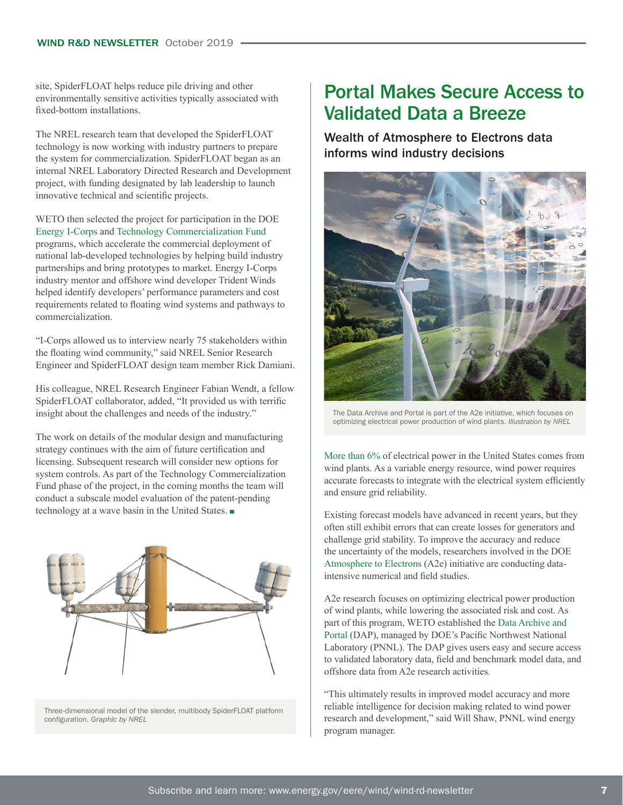site, SpiderFLOAT helps reduce pile driving and other environmentally sensitive activities typically associated with fixed-bottom installations.

The NREL research team that developed the SpiderFLOAT technology is now working with industry partners to prepare the system for commercialization. SpiderFLOAT began as an internal NREL Laboratory Directed Research and Development project, with funding designated by lab leadership to launch innovative technical and scientific projects.

WETO then selected the project for participation in the DOE [Energy I-Corps](https://energyicorps.energy.gov/content/spiderfloat-national-renewable-energy-laboratory) and [Technology Commercialization Fund](https://www.energy.gov/technologytransitions/services/technology-commercialization-fund) programs, which accelerate the commercial deployment of national lab-developed technologies by helping build industry partnerships and bring prototypes to market. Energy I-Corps industry mentor and offshore wind developer Trident Winds helped identify developers' performance parameters and cost requirements related to floating wind systems and pathways to commercialization.

"I-Corps allowed us to interview nearly 75 stakeholders within the floating wind community," said NREL Senior Research Engineer and SpiderFLOAT design team member Rick Damiani.

His colleague, NREL Research Engineer Fabian Wendt, a fellow SpiderFLOAT collaborator, added, "It provided us with terrific insight about the challenges and needs of the industry."

The work on details of the modular design and manufacturing strategy continues with the aim of future certification and licensing. Subsequent research will consider new options for system controls. As part of the Technology Commercialization Fund phase of the project, in the coming months the team will conduct a subscale model evaluation of the patent-pending technology at a wave basin in the United States.



Three-dimensional model of the slender, multibody SpiderFLOAT platform configuration. *Graphic by NREL*

### Portal Makes Secure Access to Validated Data a Breeze

Wealth of Atmosphere to Electrons data informs wind industry decisions



The Data Archive and Portal is part of the A2e initiative, which focuses on optimizing electrical power production of wind plants. *Illustration by NREL*

[More than 6%](https://www.eia.gov/electricity/data/browser/) of electrical power in the United States comes from wind plants. As a variable energy resource, wind power requires accurate forecasts to integrate with the electrical system efficiently and ensure grid reliability.

Existing forecast models have advanced in recent years, but they often still exhibit errors that can create losses for generators and challenge grid stability. To improve the accuracy and reduce the uncertainty of the models, researchers involved in the DOE [Atmosphere to Electrons](https://a2e.energy.gov/) (A2e) initiative are conducting dataintensive numerical and field studies.

A2e research focuses on optimizing electrical power production of wind plants, while lowering the associated risk and cost. As part of this program, WETO established the [Data Archive and](https://a2e.energy.gov/about/dap)  [Portal](https://a2e.energy.gov/about/dap) (DAP), managed by DOE's Pacific Northwest National Laboratory (PNNL). The DAP gives users easy and secure access to validated laboratory data, field and benchmark model data, and offshore data from A2e research activities.

"This ultimately results in improved model accuracy and more reliable intelligence for decision making related to wind power research and development," said Will Shaw, PNNL wind energy program manager.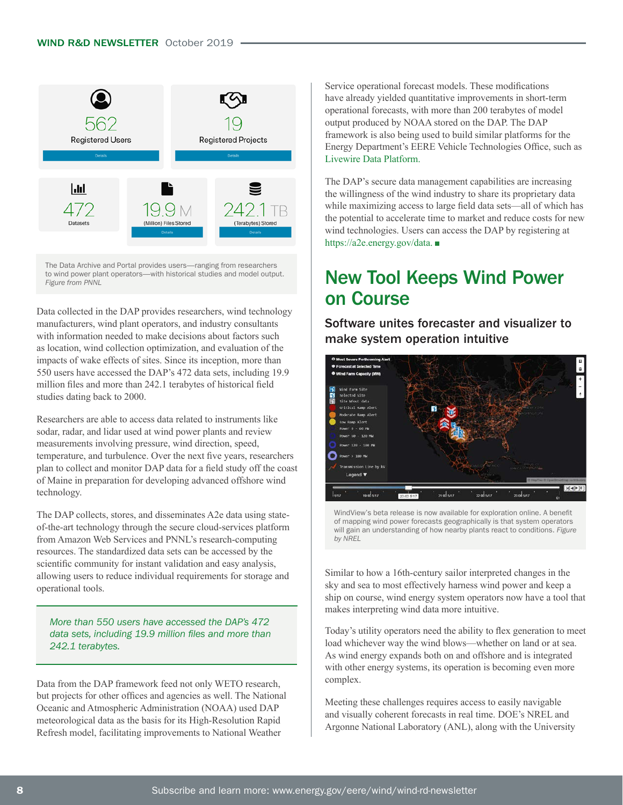

The Data Archive and Portal provides users—ranging from researchers to wind power plant operators—with historical studies and model output. *Figure from PNNL*

Data collected in the DAP provides researchers, wind technology manufacturers, wind plant operators, and industry consultants with information needed to make decisions about factors such as location, wind collection optimization, and evaluation of the impacts of wake effects of sites. Since its inception, more than 550 users have accessed the DAP's 472 data sets, including 19.9 million files and more than 242.1 terabytes of historical field studies dating back to 2000.

Researchers are able to access data related to instruments like sodar, radar, and lidar used at wind power plants and review measurements involving pressure, wind direction, speed, temperature, and turbulence. Over the next five years, researchers plan to collect and monitor DAP data for a field study off the coast of Maine in preparation for developing advanced offshore wind technology.

The DAP collects, stores, and disseminates A2e data using stateof-the-art technology through the secure cloud-services platform from Amazon Web Services and PNNL's research-computing resources. The standardized data sets can be accessed by the scientific community for instant validation and easy analysis, allowing users to reduce individual requirements for storage and operational tools.

*More than 550 users have accessed the DAP's 472 data sets, including 19.9 million files and more than 242.1 terabytes.* 

Data from the DAP framework feed not only WETO research, but projects for other offices and agencies as well. The National Oceanic and Atmospheric Administration (NOAA) used DAP meteorological data as the basis for its High-Resolution Rapid Refresh model, facilitating improvements to National Weather

Service operational forecast models. These modifications have already yielded quantitative improvements in short-term operational forecasts, with more than 200 terabytes of model output produced by NOAA stored on the DAP. The DAP framework is also being used to build similar platforms for the Energy Department's EERE Vehicle Technologies Office, such as [Livewire Data Platform.](http://livewire.energy.gov/)

The DAP's secure data management capabilities are increasing the willingness of the wind industry to share its proprietary data while maximizing access to large field data sets—all of which has the potential to accelerate time to market and reduce costs for new wind technologies. Users can access the DAP by registering at [https://a2e.energy.gov/data.](https://a2e.energy.gov/data)

### New Tool Keeps Wind Power on Course

Software unites forecaster and visualizer to make system operation intuitive



WindView's beta release is now available for exploration online. A benefit of mapping wind power forecasts geographically is that system operators will gain an understanding of how nearby plants react to conditions. *Figure by NREL*

Similar to how a 16th-century sailor interpreted changes in the sky and sea to most effectively harness wind power and keep a ship on course, wind energy system operators now have a tool that makes interpreting wind data more intuitive.

Today's utility operators need the ability to flex generation to meet load whichever way the wind blows—whether on land or at sea. As wind energy expands both on and offshore and is integrated with other energy systems, its operation is becoming even more complex.

Meeting these challenges requires access to easily navigable and visually coherent forecasts in real time. DOE's NREL and Argonne National Laboratory (ANL), along with the University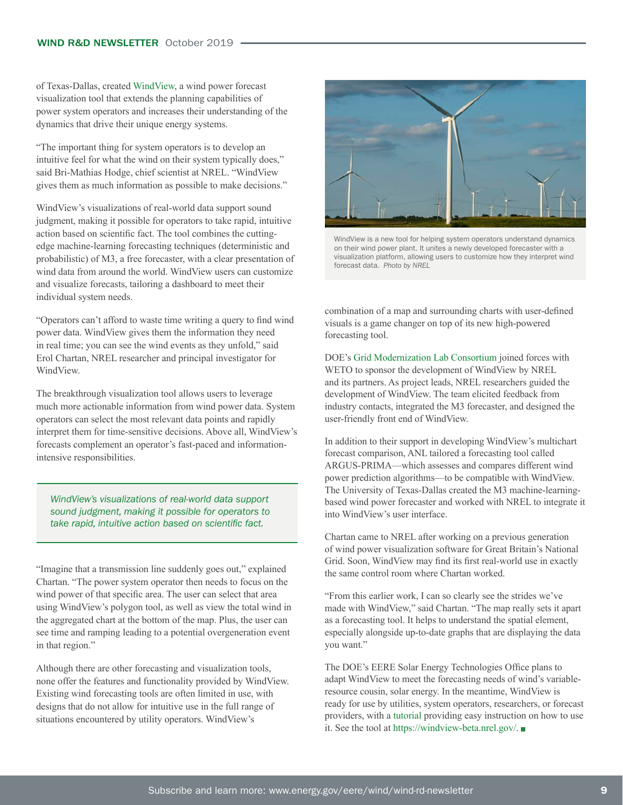of Texas-Dallas, created [WindView,](https://windview-beta.nrel.gov/) a wind power forecast visualization tool that extends the planning capabilities of power system operators and increases their understanding of the dynamics that drive their unique energy systems.

"The important thing for system operators is to develop an intuitive feel for what the wind on their system typically does," said Bri-Mathias Hodge, chief scientist at NREL. "WindView gives them as much information as possible to make decisions."

WindView's visualizations of real-world data support sound judgment, making it possible for operators to take rapid, intuitive action based on scientific fact. The tool combines the cuttingedge machine-learning forecasting techniques (deterministic and probabilistic) of M3, a free forecaster, with a clear presentation of wind data from around the world. WindView users can customize and visualize forecasts, tailoring a dashboard to meet their individual system needs.

"Operators can't afford to waste time writing a query to find wind power data. WindView gives them the information they need in real time; you can see the wind events as they unfold," said Erol Chartan, NREL researcher and principal investigator for WindView.

The breakthrough visualization tool allows users to leverage much more actionable information from wind power data. System operators can select the most relevant data points and rapidly interpret them for time-sensitive decisions. Above all, WindView's forecasts complement an operator's fast-paced and informationintensive responsibilities.

*WindView's visualizations of real-world data support sound judgment, making it possible for operators to take rapid, intuitive action based on scientific fact.* 

"Imagine that a transmission line suddenly goes out," explained Chartan. "The power system operator then needs to focus on the wind power of that specific area. The user can select that area using WindView's polygon tool, as well as view the total wind in the aggregated chart at the bottom of the map. Plus, the user can see time and ramping leading to a potential overgeneration event in that region."

Although there are other forecasting and visualization tools, none offer the features and functionality provided by WindView. Existing wind forecasting tools are often limited in use, with designs that do not allow for intuitive use in the full range of situations encountered by utility operators. WindView's



WindView is a new tool for helping system operators understand dynamics on their wind power plant. It unites a newly developed forecaster with a visualization platform, allowing users to customize how they interpret wind forecast data*. Photo by NREL*

combination of a map and surrounding charts with user-defined visuals is a game changer on top of its new high-powered forecasting tool.

DOE's [Grid Modernization Lab Consortium](https://www.energy.gov/grid-modernization-initiative-0/grid-modernization-lab-consortium) joined forces with WETO to sponsor the development of WindView by NREL and its partners. As project leads, NREL researchers guided the development of WindView. The team elicited feedback from industry contacts, integrated the M3 forecaster, and designed the user-friendly front end of WindView.

In addition to their support in developing WindView's multichart forecast comparison, ANL tailored a forecasting tool called ARGUS-PRIMA—which assesses and compares different wind power prediction algorithms—to be compatible with WindView. The University of Texas-Dallas created the M3 machine-learningbased wind power forecaster and worked with NREL to integrate it into WindView's user interface.

Chartan came to NREL after working on a previous generation of wind power visualization software for Great Britain's National Grid. Soon, WindView may find its first real-world use in exactly the same control room where Chartan worked.

"From this earlier work, I can so clearly see the strides we've made with WindView," said Chartan. "The map really sets it apart as a forecasting tool. It helps to understand the spatial element, especially alongside up-to-date graphs that are displaying the data you want."

The DOE's EERE Solar Energy Technologies Office plans to adapt WindView to meet the forecasting needs of wind's variableresource cousin, solar energy. In the meantime, WindView is ready for use by utilities, system operators, researchers, or forecast providers, with a [tutorial](https://www.youtube.com/watch?v=HqCedGl-UyU&feature=youtu.be) providing easy instruction on how to use it. See the tool at <https://windview-beta.nrel.gov/>.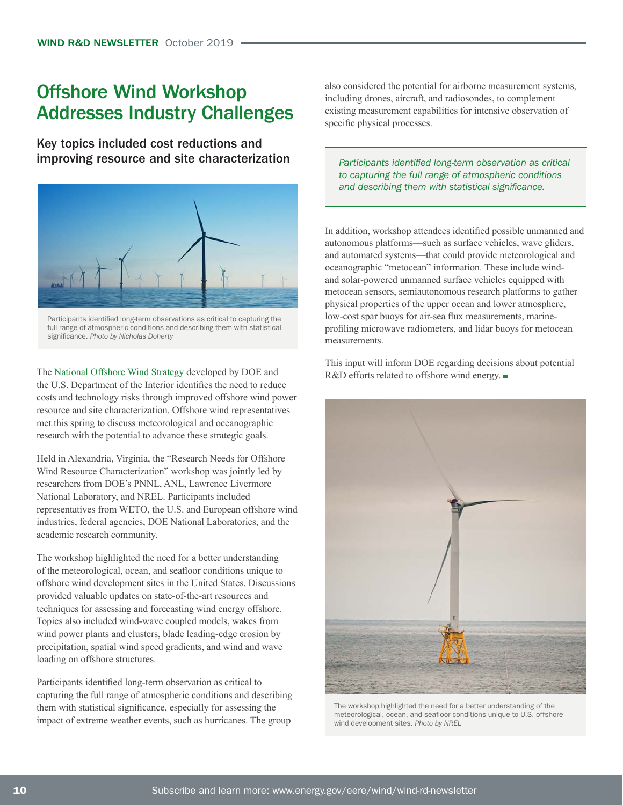### Offshore Wind Workshop Addresses Industry Challenges

Key topics included cost reductions and improving resource and site characterization



full range of atmospheric conditions and describing them with statistical significance. *Photo by Nicholas Doherty*

The [National Offshore Wind Strategy](https://www.boem.gov/National-Offshore-Wind-Strategy/) developed by DOE and the U.S. Department of the Interior identifies the need to reduce costs and technology risks through improved offshore wind power resource and site characterization. Offshore wind representatives met this spring to discuss meteorological and oceanographic research with the potential to advance these strategic goals.

Held in Alexandria, Virginia, the "Research Needs for Offshore Wind Resource Characterization" workshop was jointly led by researchers from DOE's PNNL, ANL, Lawrence Livermore National Laboratory, and NREL. Participants included representatives from WETO, the U.S. and European offshore wind industries, federal agencies, DOE National Laboratories, and the academic research community.

The workshop highlighted the need for a better understanding of the meteorological, ocean, and seafloor conditions unique to offshore wind development sites in the United States. Discussions provided valuable updates on state-of-the-art resources and techniques for assessing and forecasting wind energy offshore. Topics also included wind-wave coupled models, wakes from wind power plants and clusters, blade leading-edge erosion by precipitation, spatial wind speed gradients, and wind and wave loading on offshore structures.

Participants identified long-term observation as critical to capturing the full range of atmospheric conditions and describing them with statistical significance, especially for assessing the impact of extreme weather events, such as hurricanes. The group

also considered the potential for airborne measurement systems, including drones, aircraft, and radiosondes, to complement existing measurement capabilities for intensive observation of specific physical processes.

*Participants identified long-term observation as critical to capturing the full range of atmospheric conditions and describing them with statistical significance.*

In addition, workshop attendees identified possible unmanned and autonomous platforms—such as surface vehicles, wave gliders, and automated systems—that could provide meteorological and oceanographic "metocean" information. These include windand solar-powered unmanned surface vehicles equipped with metocean sensors, semiautonomous research platforms to gather physical properties of the upper ocean and lower atmosphere, low-cost spar buoys for air-sea flux measurements, marineprofiling microwave radiometers, and lidar buoys for metocean measurements.

This input will inform DOE regarding decisions about potential R&D efforts related to offshore wind energy. ■



The workshop highlighted the need for a better understanding of the meteorological, ocean, and seafloor conditions unique to U.S. offshore wind development sites. *Photo by NREL*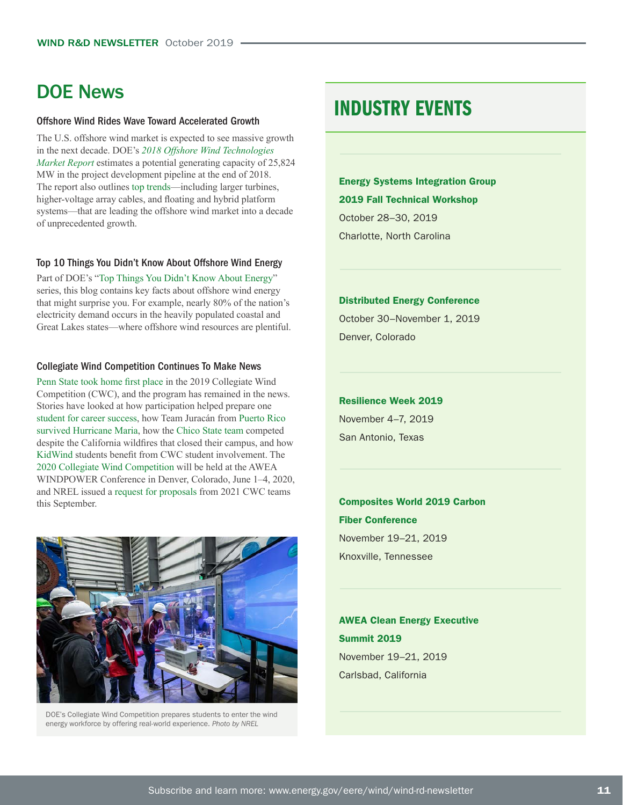### DOE News

#### [Offshore Wind Rides Wave Toward Accelerated Growth](https://www.energy.gov/eere/wind/articles/top-trends-offshore-wind)

The U.S. offshore wind market is expected to see massive growth in the next decade. DOE's *[2018 Offshore Wind Technologies](https://www.energy.gov/eere/wind/downloads/2018-offshore-wind-market-report)  [Market Report](https://www.energy.gov/eere/wind/downloads/2018-offshore-wind-market-report)* estimates a potential generating capacity of 25,824 MW in the project development pipeline at the end of 2018. The report also outlines [top trends—](https://www.energy.gov/eere/wind/articles/top-trends-offshore-wind)including larger turbines, higher-voltage array cables, and floating and hybrid platform systems—that are leading the offshore wind market into a decade of unprecedented growth.

#### [Top 10 Things You Didn't Know About Offshore Wind Energy](https://www.energy.gov/eere/wind/articles/top-10-things-you-didn-t-know-about-offshore-wind-energy)

Part of DOE's "[Top Things You Didn't Know About Energy](https://www.energy.gov/joules-wisdom-top-things-you-didnt-know-about-energy)" series, this blog contains key facts about offshore wind energy that might surprise you. For example, nearly 80% of the nation's electricity demand occurs in the heavily populated coastal and Great Lakes states—where offshore wind resources are plentiful.

#### [Collegiate Wind Competition Continues To Make News](https://www.energy.gov/eere/collegiatewindcompetition/collegiate-wind-competition)

[Penn State took home first place](https://www.energy.gov/eere/collegiatewindcompetition/articles/penn-state-takes-top-prize-2019-collegiate-wind-competition) in the 2019 Collegiate Wind Competition (CWC), and the program has remained in the news. Stories have looked at how participation helped prepare one [student for career success](https://www.energy.gov/eere/collegiatewindcompetition/articles/collegiate-wind-competition-paves-way-careers-wind-energy), how Team Juracán from [Puerto Rico](https://www.energy.gov/eere/collegiatewindcompetition/articles/students-puerto-rico-channel-resiliency-solve-real-world)  [survived Hurricane Maria,](https://www.energy.gov/eere/collegiatewindcompetition/articles/students-puerto-rico-channel-resiliency-solve-real-world) how the [Chico State team](https://www.energy.gov/eere/collegiatewindcompetition/articles/cwc-chico-state-team-stands-strong-california-wildfire) competed despite the California wildfires that closed their campus, and how [KidWind](https://www.energy.gov/eere/collegiatewindcompetition/articles/college-students-give-back-collegiate-wind-competition) students benefit from CWC student involvement. The [2020 Collegiate Wind Competition](https://www.energy.gov/eere/collegiatewindcompetition/articles/2020-collegiate-wind-competition-participants-announced) will be held at the AWEA WINDPOWER Conference in Denver, Colorado, June 1–4, 2020, and NREL issued a [request for proposals](https://www.energy.gov/eere/collegiatewindcompetition/articles/us-department-energy-releases-request-proposal-collegiate) from 2021 CWC teams this September.



DOE's Collegiate Wind Competition prepares students to enter the wind energy workforce by offering real-world experience. *Photo by NREL* 

### INDUSTRY EVENTS

[Energy Systems Integration Group](https://www.esig.energy/event/2019-fall-technical-workshop/)  [2019 Fall Technical Workshop](https://www.esig.energy/event/2019-fall-technical-workshop/) October 28–30, 2019 Charlotte, North Carolina

#### [Distributed Energy Conference](https://www.distributedenergyconference.com/)

October 30–November 1, 2019 Denver, Colorado

[Resilience Week 2019](https://events.inl.gov/Resilience-Week-2019) November 4–7, 2019 San Antonio, Texas

[Composites World 2019 Carbon](https://www.carbonfiberevent.com/)  [Fiber Conference](https://www.carbonfiberevent.com/) November 19–21, 2019 Knoxville, Tennessee

[AWEA Clean Energy Executive](https://engage.awea.org/Events/Meeting-Home-Page?meetingid=%7bC251F059-D8BC-E811-80FA-000D3A01109B%7d)  [Summit 2019](https://engage.awea.org/Events/Meeting-Home-Page?meetingid=%7bC251F059-D8BC-E811-80FA-000D3A01109B%7d) November 19–21, 2019 Carlsbad, California